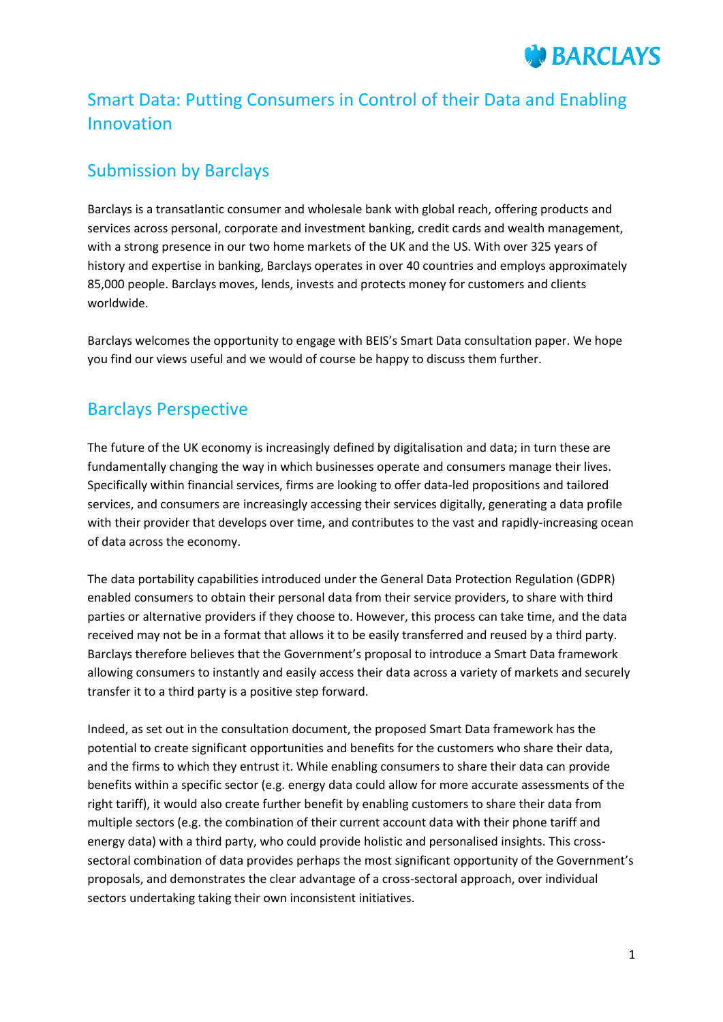### Smart Data: Putting Consumers in Control of their Data and Enabling Innovation

### Submission by Barclays

Barclays is a transatlantic consumer and wholesale bank with global reach, offering products and services across personal, corporate and investment banking, credit cards and wealth management, with a strong presence in our two home markets of the UK and the US. With over 325 years of history and expertise in banking, Barclays operates in over 40 countries and employs approximately 85,000 people. Barclays moves, lends, invests and protects money for customers and clients worldwide.

Barclays welcomes the opportunity to engage with BEIS's Smart Data consultation paper. We hope you find our views useful and we would of course be happy to discuss them further.

### Barclays Perspective

The future of the UK economy is increasingly defined by digitalisation and data; in turn these are fundamentally changing the way in which businesses operate and consumers manage their lives. Specifically within financial services, firms are looking to offer data-led propositions and tailored services, and consumers are increasingly accessing their services digitally, generating a data profile with their provider that develops over time, and contributes to the vast and rapidly-increasing ocean of data across the economy.

The data portability capabilities introduced under the General Data Protection Regulation (GDPR) enabled consumers to obtain their personal data from their service providers, to share with third parties or alternative providers if they choose to. However, this process can take time, and the data received may not be in a format that allows it to be easily transferred and reused by a third party. Barclays therefore believes that the Government's proposal to introduce a Smart Data framework allowing consumers to instantly and easily access their data across a variety of markets and securely transfer it to a third party is a positive step forward.

Indeed, as set out in the consultation document, the proposed Smart Data framework has the potential to create significant opportunities and benefits for the customers who share their data, and the firms to which they entrust it. While enabling consumers to share their data can provide benefits within a specific sector (e.g. energy data could allow for more accurate assessments of the right tariff), it would also create further benefit by enabling customers to share their data from multiple sectors (e.g. the combination of their current account data with their phone tariff and energy data) with a third party, who could provide holistic and personalised insights. This crosssectoral combination of data provides perhaps the most significant opportunity of the Government's proposals, and demonstrates the clear advantage of a cross-sectoral approach, over individual sectors undertaking taking their own inconsistent initiatives.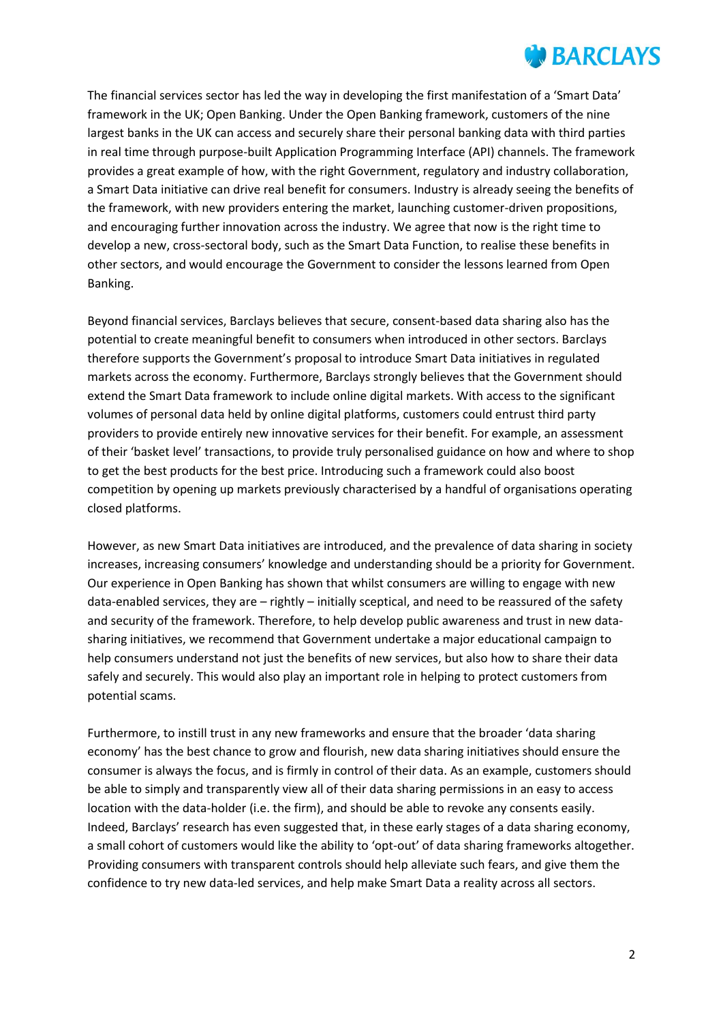The financial services sector has led the way in developing the first manifestation of a 'Smart Data' framework in the UK; Open Banking. Under the Open Banking framework, customers of the nine largest banks in the UK can access and securely share their personal banking data with third parties in real time through purpose-built Application Programming Interface (API) channels. The framework provides a great example of how, with the right Government, regulatory and industry collaboration, a Smart Data initiative can drive real benefit for consumers. Industry is already seeing the benefits of the framework, with new providers entering the market, launching customer-driven propositions, and encouraging further innovation across the industry. We agree that now is the right time to develop a new, cross-sectoral body, such as the Smart Data Function, to realise these benefits in other sectors, and would encourage the Government to consider the lessons learned from Open Banking.

Beyond financial services, Barclays believes that secure, consent-based data sharing also has the potential to create meaningful benefit to consumers when introduced in other sectors. Barclays therefore supports the Government's proposal to introduce Smart Data initiatives in regulated markets across the economy. Furthermore, Barclays strongly believes that the Government should extend the Smart Data framework to include online digital markets. With access to the significant volumes of personal data held by online digital platforms, customers could entrust third party providers to provide entirely new innovative services for their benefit. For example, an assessment of their 'basket level' transactions, to provide truly personalised guidance on how and where to shop to get the best products for the best price. Introducing such a framework could also boost competition by opening up markets previously characterised by a handful of organisations operating closed platforms.

However, as new Smart Data initiatives are introduced, and the prevalence of data sharing in society increases, increasing consumers' knowledge and understanding should be a priority for Government. Our experience in Open Banking has shown that whilst consumers are willing to engage with new data-enabled services, they are – rightly – initially sceptical, and need to be reassured of the safety and security of the framework. Therefore, to help develop public awareness and trust in new datasharing initiatives, we recommend that Government undertake a major educational campaign to help consumers understand not just the benefits of new services, but also how to share their data safely and securely. This would also play an important role in helping to protect customers from potential scams.

Furthermore, to instill trust in any new frameworks and ensure that the broader 'data sharing economy' has the best chance to grow and flourish, new data sharing initiatives should ensure the consumer is always the focus, and is firmly in control of their data. As an example, customers should be able to simply and transparently view all of their data sharing permissions in an easy to access location with the data-holder (i.e. the firm), and should be able to revoke any consents easily. Indeed, Barclays' research has even suggested that, in these early stages of a data sharing economy, a small cohort of customers would like the ability to 'opt-out' of data sharing frameworks altogether. Providing consumers with transparent controls should help alleviate such fears, and give them the confidence to try new data-led services, and help make Smart Data a reality across all sectors.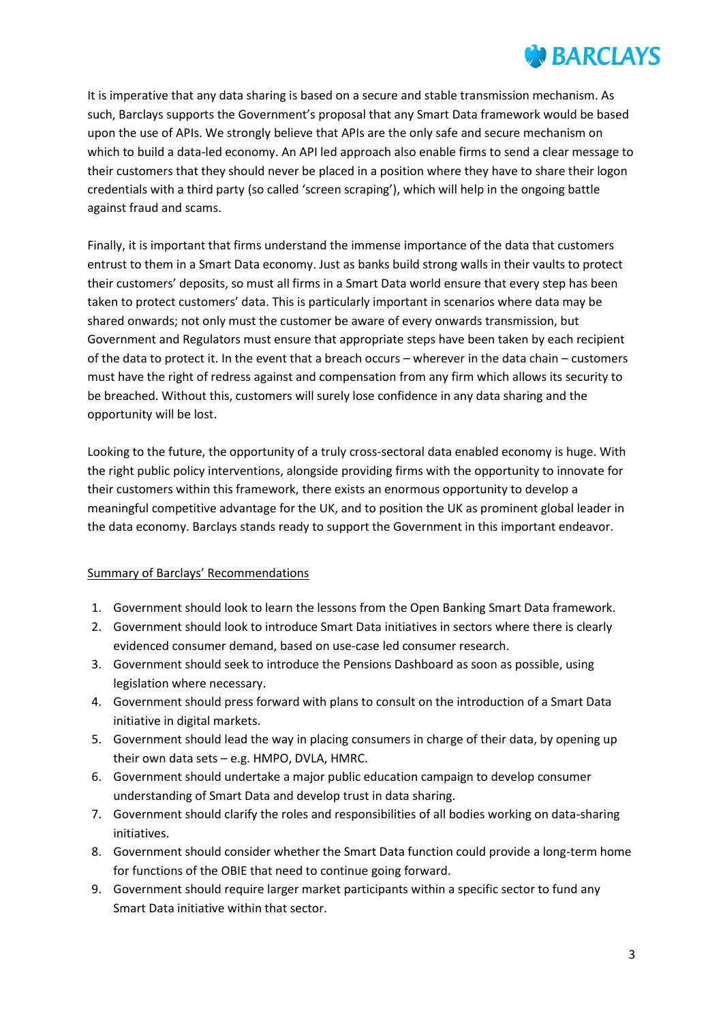It is imperative that any data sharing is based on a secure and stable transmission mechanism. As such, Barclays supports the Government's proposal that any Smart Data framework would be based upon the use of APIs. We strongly believe that APIs are the only safe and secure mechanism on which to build a data-led economy. An API led approach also enable firms to send a clear message to their customers that they should never be placed in a position where they have to share their logon credentials with a third party (so called 'screen scraping'), which will help in the ongoing battle against fraud and scams.

Finally, it is important that firms understand the immense importance of the data that customers entrust to them in a Smart Data economy. Just as banks build strong walls in their vaults to protect their customers' deposits, so must all firms in a Smart Data world ensure that every step has been taken to protect customers' data. This is particularly important in scenarios where data may be shared onwards; not only must the customer be aware of every onwards transmission, but Government and Regulators must ensure that appropriate steps have been taken by each recipient of the data to protect it. In the event that a breach occurs – wherever in the data chain – customers must have the right of redress against and compensation from any firm which allows its security to be breached. Without this, customers will surely lose confidence in any data sharing and the opportunity will be lost.

Looking to the future, the opportunity of a truly cross-sectoral data enabled economy is huge. With the right public policy interventions, alongside providing firms with the opportunity to innovate for their customers within this framework, there exists an enormous opportunity to develop a meaningful competitive advantage for the UK, and to position the UK as prominent global leader in the data economy. Barclays stands ready to support the Government in this important endeavor.

#### Summary of Barclays' Recommendations

- 1. Government should look to learn the lessons from the Open Banking Smart Data framework.
- 2. Government should look to introduce Smart Data initiatives in sectors where there is clearly evidenced consumer demand, based on use-case led consumer research.
- 3. Government should seek to introduce the Pensions Dashboard as soon as possible, using legislation where necessary.
- 4. Government should press forward with plans to consult on the introduction of a Smart Data initiative in digital markets.
- 5. Government should lead the way in placing consumers in charge of their data, by opening up their own data sets – e.g. HMPO, DVLA, HMRC.
- 6. Government should undertake a major public education campaign to develop consumer understanding of Smart Data and develop trust in data sharing.
- 7. Government should clarify the roles and responsibilities of all bodies working on data-sharing initiatives.
- 8. Government should consider whether the Smart Data function could provide a long-term home for functions of the OBIE that need to continue going forward.
- 9. Government should require larger market participants within a specific sector to fund any Smart Data initiative within that sector.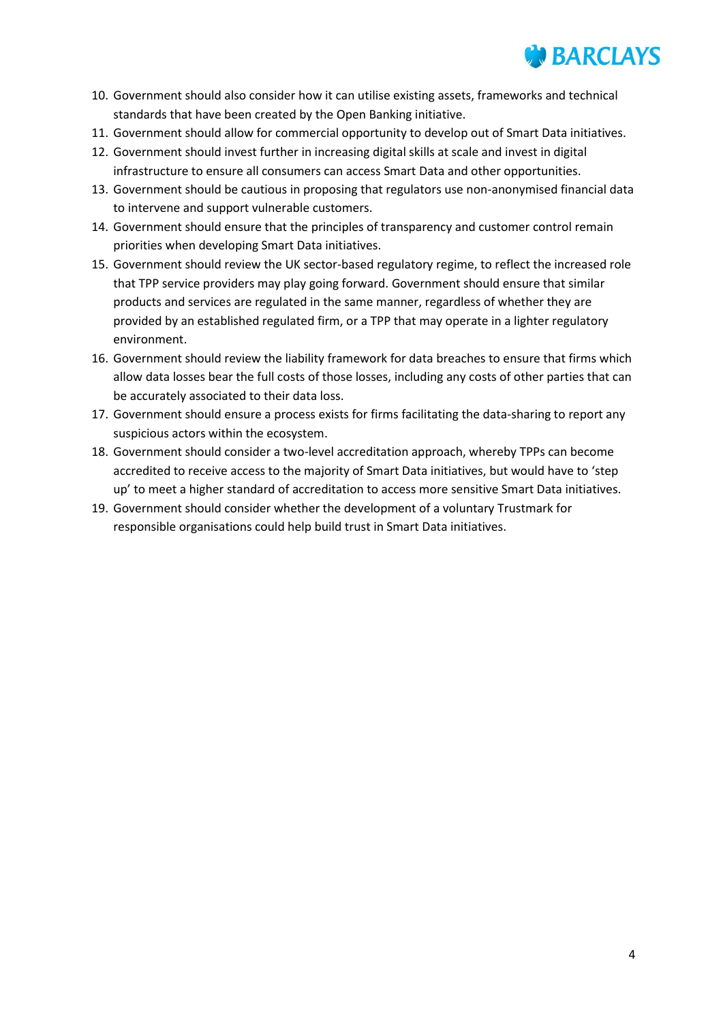

- 10. Government should also consider how it can utilise existing assets, frameworks and technical standards that have been created by the Open Banking initiative.
- 11. Government should allow for commercial opportunity to develop out of Smart Data initiatives.
- 12. Government should invest further in increasing digital skills at scale and invest in digital infrastructure to ensure all consumers can access Smart Data and other opportunities.
- 13. Government should be cautious in proposing that regulators use non-anonymised financial data to intervene and support vulnerable customers.
- 14. Government should ensure that the principles of transparency and customer control remain priorities when developing Smart Data initiatives.
- 15. Government should review the UK sector-based regulatory regime, to reflect the increased role that TPP service providers may play going forward. Government should ensure that similar products and services are regulated in the same manner, regardless of whether they are provided by an established regulated firm, or a TPP that may operate in a lighter regulatory environment.
- 16. Government should review the liability framework for data breaches to ensure that firms which allow data losses bear the full costs of those losses, including any costs of other parties that can be accurately associated to their data loss.
- 17. Government should ensure a process exists for firms facilitating the data-sharing to report any suspicious actors within the ecosystem.
- 18. Government should consider a two-level accreditation approach, whereby TPPs can become accredited to receive access to the majority of Smart Data initiatives, but would have to 'step up' to meet a higher standard of accreditation to access more sensitive Smart Data initiatives.
- 19. Government should consider whether the development of a voluntary Trustmark for responsible organisations could help build trust in Smart Data initiatives.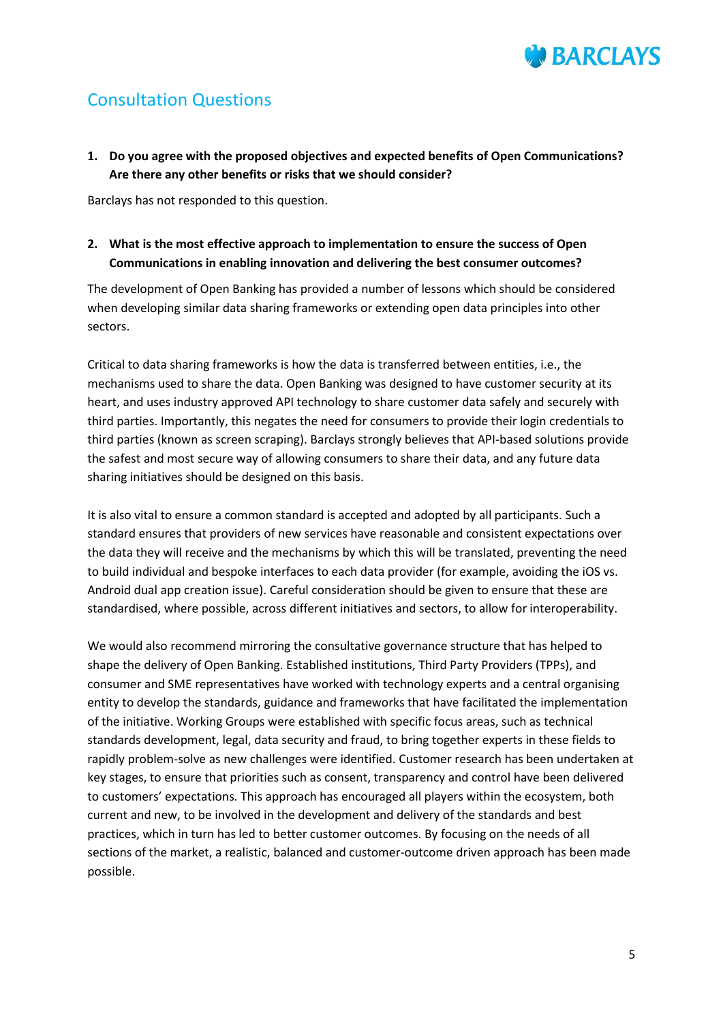## Consultation Questions

**1. Do you agree with the proposed objectives and expected benefits of Open Communications? Are there any other benefits or risks that we should consider?** 

Barclays has not responded to this question.

**2. What is the most effective approach to implementation to ensure the success of Open Communications in enabling innovation and delivering the best consumer outcomes?** 

The development of Open Banking has provided a number of lessons which should be considered when developing similar data sharing frameworks or extending open data principles into other sectors.

Critical to data sharing frameworks is how the data is transferred between entities, i.e., the mechanisms used to share the data. Open Banking was designed to have customer security at its heart, and uses industry approved API technology to share customer data safely and securely with third parties. Importantly, this negates the need for consumers to provide their login credentials to third parties (known as screen scraping). Barclays strongly believes that API-based solutions provide the safest and most secure way of allowing consumers to share their data, and any future data sharing initiatives should be designed on this basis.

It is also vital to ensure a common standard is accepted and adopted by all participants. Such a standard ensures that providers of new services have reasonable and consistent expectations over the data they will receive and the mechanisms by which this will be translated, preventing the need to build individual and bespoke interfaces to each data provider (for example, avoiding the iOS vs. Android dual app creation issue). Careful consideration should be given to ensure that these are standardised, where possible, across different initiatives and sectors, to allow for interoperability.

We would also recommend mirroring the consultative governance structure that has helped to shape the delivery of Open Banking. Established institutions, Third Party Providers (TPPs), and consumer and SME representatives have worked with technology experts and a central organising entity to develop the standards, guidance and frameworks that have facilitated the implementation of the initiative. Working Groups were established with specific focus areas, such as technical standards development, legal, data security and fraud, to bring together experts in these fields to rapidly problem-solve as new challenges were identified. Customer research has been undertaken at key stages, to ensure that priorities such as consent, transparency and control have been delivered to customers' expectations. This approach has encouraged all players within the ecosystem, both current and new, to be involved in the development and delivery of the standards and best practices, which in turn has led to better customer outcomes. By focusing on the needs of all sections of the market, a realistic, balanced and customer-outcome driven approach has been made possible.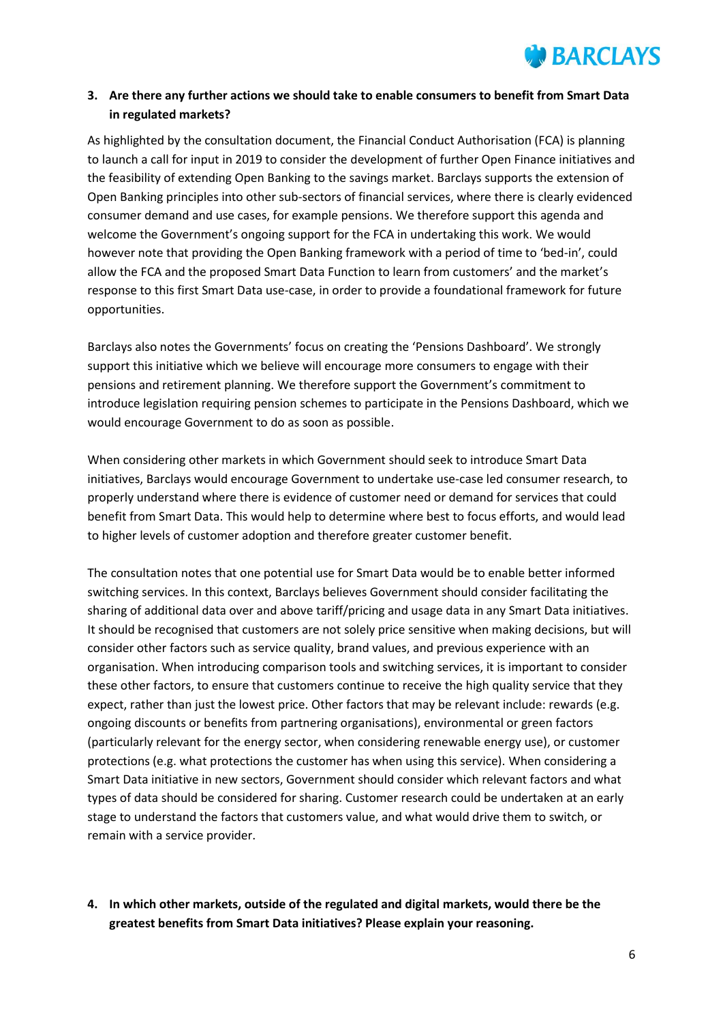

### **3. Are there any further actions we should take to enable consumers to benefit from Smart Data in regulated markets?**

As highlighted by the consultation document, the Financial Conduct Authorisation (FCA) is planning to launch a call for input in 2019 to consider the development of further Open Finance initiatives and the feasibility of extending Open Banking to the savings market. Barclays supports the extension of Open Banking principles into other sub-sectors of financial services, where there is clearly evidenced consumer demand and use cases, for example pensions. We therefore support this agenda and welcome the Government's ongoing support for the FCA in undertaking this work. We would however note that providing the Open Banking framework with a period of time to 'bed-in', could allow the FCA and the proposed Smart Data Function to learn from customers' and the market's response to this first Smart Data use-case, in order to provide a foundational framework for future opportunities.

Barclays also notes the Governments' focus on creating the 'Pensions Dashboard'. We strongly support this initiative which we believe will encourage more consumers to engage with their pensions and retirement planning. We therefore support the Government's commitment to introduce legislation requiring pension schemes to participate in the Pensions Dashboard, which we would encourage Government to do as soon as possible.

When considering other markets in which Government should seek to introduce Smart Data initiatives, Barclays would encourage Government to undertake use-case led consumer research, to properly understand where there is evidence of customer need or demand for services that could benefit from Smart Data. This would help to determine where best to focus efforts, and would lead to higher levels of customer adoption and therefore greater customer benefit.

The consultation notes that one potential use for Smart Data would be to enable better informed switching services. In this context, Barclays believes Government should consider facilitating the sharing of additional data over and above tariff/pricing and usage data in any Smart Data initiatives. It should be recognised that customers are not solely price sensitive when making decisions, but will consider other factors such as service quality, brand values, and previous experience with an organisation. When introducing comparison tools and switching services, it is important to consider these other factors, to ensure that customers continue to receive the high quality service that they expect, rather than just the lowest price. Other factors that may be relevant include: rewards (e.g. ongoing discounts or benefits from partnering organisations), environmental or green factors (particularly relevant for the energy sector, when considering renewable energy use), or customer protections (e.g. what protections the customer has when using this service). When considering a Smart Data initiative in new sectors, Government should consider which relevant factors and what types of data should be considered for sharing. Customer research could be undertaken at an early stage to understand the factors that customers value, and what would drive them to switch, or remain with a service provider.

**4. In which other markets, outside of the regulated and digital markets, would there be the greatest benefits from Smart Data initiatives? Please explain your reasoning.**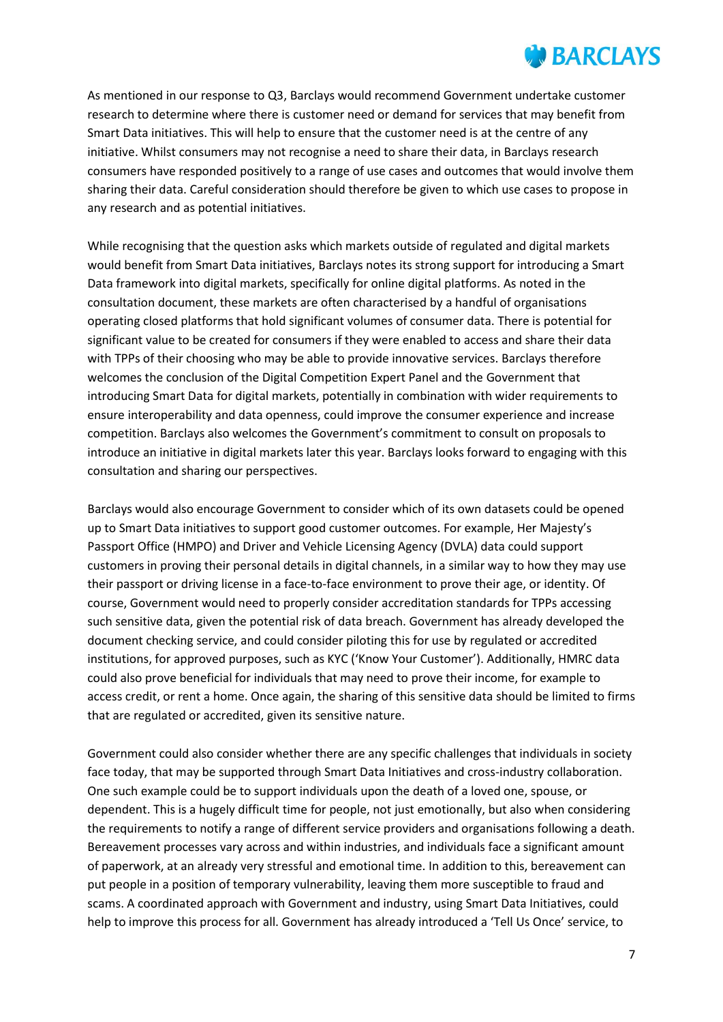As mentioned in our response to Q3, Barclays would recommend Government undertake customer research to determine where there is customer need or demand for services that may benefit from Smart Data initiatives. This will help to ensure that the customer need is at the centre of any initiative. Whilst consumers may not recognise a need to share their data, in Barclays research consumers have responded positively to a range of use cases and outcomes that would involve them sharing their data. Careful consideration should therefore be given to which use cases to propose in any research and as potential initiatives.

While recognising that the question asks which markets outside of regulated and digital markets would benefit from Smart Data initiatives, Barclays notes its strong support for introducing a Smart Data framework into digital markets, specifically for online digital platforms. As noted in the consultation document, these markets are often characterised by a handful of organisations operating closed platforms that hold significant volumes of consumer data. There is potential for significant value to be created for consumers if they were enabled to access and share their data with TPPs of their choosing who may be able to provide innovative services. Barclays therefore welcomes the conclusion of the Digital Competition Expert Panel and the Government that introducing Smart Data for digital markets, potentially in combination with wider requirements to ensure interoperability and data openness, could improve the consumer experience and increase competition. Barclays also welcomes the Government's commitment to consult on proposals to introduce an initiative in digital markets later this year. Barclays looks forward to engaging with this consultation and sharing our perspectives.

Barclays would also encourage Government to consider which of its own datasets could be opened up to Smart Data initiatives to support good customer outcomes. For example, Her Majesty's Passport Office (HMPO) and Driver and Vehicle Licensing Agency (DVLA) data could support customers in proving their personal details in digital channels, in a similar way to how they may use their passport or driving license in a face-to-face environment to prove their age, or identity. Of course, Government would need to properly consider accreditation standards for TPPs accessing such sensitive data, given the potential risk of data breach. Government has already developed the document checking service, and could consider piloting this for use by regulated or accredited institutions, for approved purposes, such as KYC ('Know Your Customer'). Additionally, HMRC data could also prove beneficial for individuals that may need to prove their income, for example to access credit, or rent a home. Once again, the sharing of this sensitive data should be limited to firms that are regulated or accredited, given its sensitive nature.

Government could also consider whether there are any specific challenges that individuals in society face today, that may be supported through Smart Data Initiatives and cross-industry collaboration. One such example could be to support individuals upon the death of a loved one, spouse, or dependent. This is a hugely difficult time for people, not just emotionally, but also when considering the requirements to notify a range of different service providers and organisations following a death. Bereavement processes vary across and within industries, and individuals face a significant amount of paperwork, at an already very stressful and emotional time. In addition to this, bereavement can put people in a position of temporary vulnerability, leaving them more susceptible to fraud and scams. A coordinated approach with Government and industry, using Smart Data Initiatives, could help to improve this process for all. Government has already introduced a 'Tell Us Once' service, to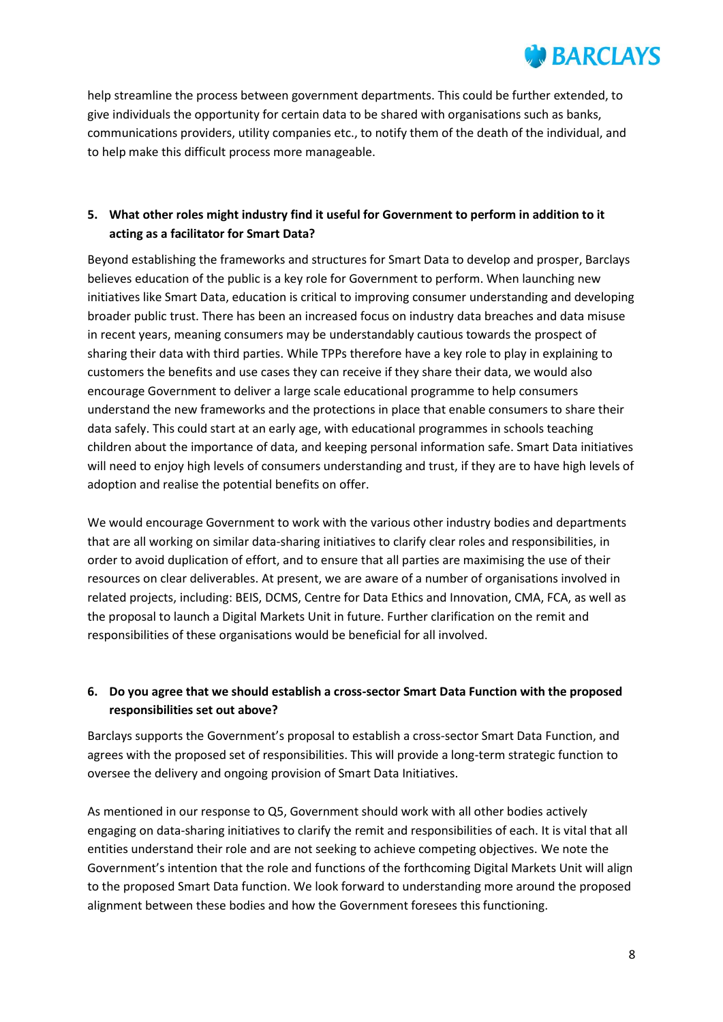

help streamline the process between government departments. This could be further extended, to give individuals the opportunity for certain data to be shared with organisations such as banks, communications providers, utility companies etc., to notify them of the death of the individual, and to help make this difficult process more manageable.

### **5. What other roles might industry find it useful for Government to perform in addition to it acting as a facilitator for Smart Data?**

Beyond establishing the frameworks and structures for Smart Data to develop and prosper, Barclays believes education of the public is a key role for Government to perform. When launching new initiatives like Smart Data, education is critical to improving consumer understanding and developing broader public trust. There has been an increased focus on industry data breaches and data misuse in recent years, meaning consumers may be understandably cautious towards the prospect of sharing their data with third parties. While TPPs therefore have a key role to play in explaining to customers the benefits and use cases they can receive if they share their data, we would also encourage Government to deliver a large scale educational programme to help consumers understand the new frameworks and the protections in place that enable consumers to share their data safely. This could start at an early age, with educational programmes in schools teaching children about the importance of data, and keeping personal information safe. Smart Data initiatives will need to enjoy high levels of consumers understanding and trust, if they are to have high levels of adoption and realise the potential benefits on offer.

We would encourage Government to work with the various other industry bodies and departments that are all working on similar data-sharing initiatives to clarify clear roles and responsibilities, in order to avoid duplication of effort, and to ensure that all parties are maximising the use of their resources on clear deliverables. At present, we are aware of a number of organisations involved in related projects, including: BEIS, DCMS, Centre for Data Ethics and Innovation, CMA, FCA, as well as the proposal to launch a Digital Markets Unit in future. Further clarification on the remit and responsibilities of these organisations would be beneficial for all involved.

### **6. Do you agree that we should establish a cross-sector Smart Data Function with the proposed responsibilities set out above?**

Barclays supports the Government's proposal to establish a cross-sector Smart Data Function, and agrees with the proposed set of responsibilities. This will provide a long-term strategic function to oversee the delivery and ongoing provision of Smart Data Initiatives.

As mentioned in our response to Q5, Government should work with all other bodies actively engaging on data-sharing initiatives to clarify the remit and responsibilities of each. It is vital that all entities understand their role and are not seeking to achieve competing objectives. We note the Government's intention that the role and functions of the forthcoming Digital Markets Unit will align to the proposed Smart Data function. We look forward to understanding more around the proposed alignment between these bodies and how the Government foresees this functioning.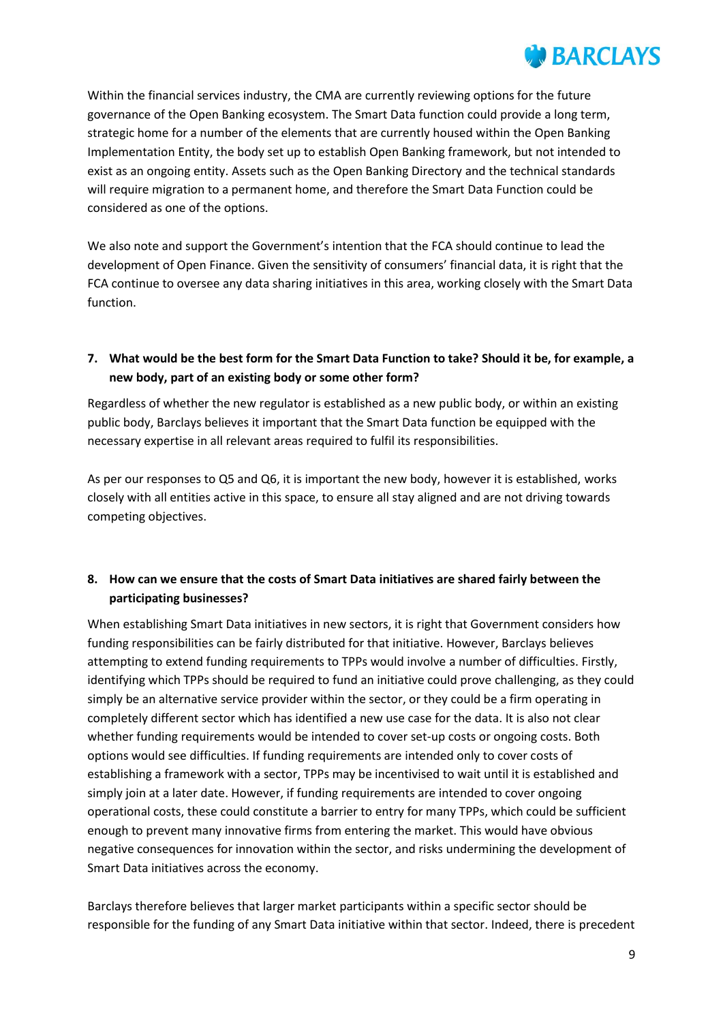Within the financial services industry, the CMA are currently reviewing options for the future governance of the Open Banking ecosystem. The Smart Data function could provide a long term, strategic home for a number of the elements that are currently housed within the Open Banking Implementation Entity, the body set up to establish Open Banking framework, but not intended to exist as an ongoing entity. Assets such as the Open Banking Directory and the technical standards will require migration to a permanent home, and therefore the Smart Data Function could be considered as one of the options.

We also note and support the Government's intention that the FCA should continue to lead the development of Open Finance. Given the sensitivity of consumers' financial data, it is right that the FCA continue to oversee any data sharing initiatives in this area, working closely with the Smart Data function.

### **7. What would be the best form for the Smart Data Function to take? Should it be, for example, a new body, part of an existing body or some other form?**

Regardless of whether the new regulator is established as a new public body, or within an existing public body, Barclays believes it important that the Smart Data function be equipped with the necessary expertise in all relevant areas required to fulfil its responsibilities.

As per our responses to Q5 and Q6, it is important the new body, however it is established, works closely with all entities active in this space, to ensure all stay aligned and are not driving towards competing objectives.

### **8. How can we ensure that the costs of Smart Data initiatives are shared fairly between the participating businesses?**

When establishing Smart Data initiatives in new sectors, it is right that Government considers how funding responsibilities can be fairly distributed for that initiative. However, Barclays believes attempting to extend funding requirements to TPPs would involve a number of difficulties. Firstly, identifying which TPPs should be required to fund an initiative could prove challenging, as they could simply be an alternative service provider within the sector, or they could be a firm operating in completely different sector which has identified a new use case for the data. It is also not clear whether funding requirements would be intended to cover set-up costs or ongoing costs. Both options would see difficulties. If funding requirements are intended only to cover costs of establishing a framework with a sector, TPPs may be incentivised to wait until it is established and simply join at a later date. However, if funding requirements are intended to cover ongoing operational costs, these could constitute a barrier to entry for many TPPs, which could be sufficient enough to prevent many innovative firms from entering the market. This would have obvious negative consequences for innovation within the sector, and risks undermining the development of Smart Data initiatives across the economy.

Barclays therefore believes that larger market participants within a specific sector should be responsible for the funding of any Smart Data initiative within that sector. Indeed, there is precedent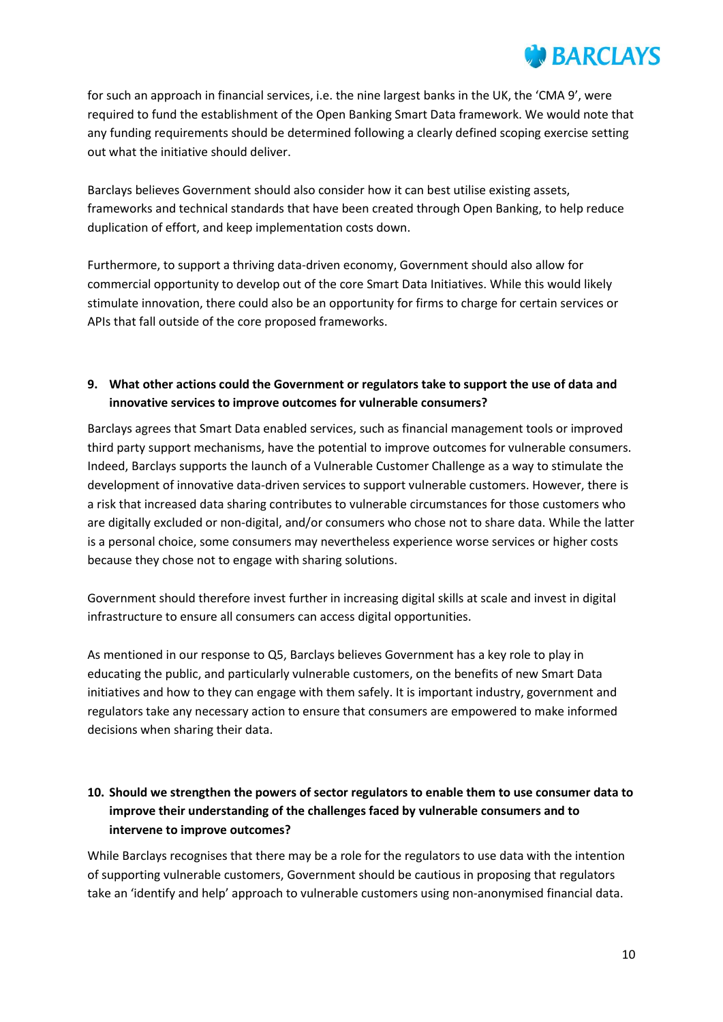

for such an approach in financial services, i.e. the nine largest banks in the UK, the 'CMA 9', were required to fund the establishment of the Open Banking Smart Data framework. We would note that any funding requirements should be determined following a clearly defined scoping exercise setting out what the initiative should deliver.

Barclays believes Government should also consider how it can best utilise existing assets, frameworks and technical standards that have been created through Open Banking, to help reduce duplication of effort, and keep implementation costs down.

Furthermore, to support a thriving data-driven economy, Government should also allow for commercial opportunity to develop out of the core Smart Data Initiatives. While this would likely stimulate innovation, there could also be an opportunity for firms to charge for certain services or APIs that fall outside of the core proposed frameworks.

#### **9. What other actions could the Government or regulators take to support the use of data and innovative services to improve outcomes for vulnerable consumers?**

Barclays agrees that Smart Data enabled services, such as financial management tools or improved third party support mechanisms, have the potential to improve outcomes for vulnerable consumers. Indeed, Barclays supports the launch of a Vulnerable Customer Challenge as a way to stimulate the development of innovative data-driven services to support vulnerable customers. However, there is a risk that increased data sharing contributes to vulnerable circumstances for those customers who are digitally excluded or non-digital, and/or consumers who chose not to share data. While the latter is a personal choice, some consumers may nevertheless experience worse services or higher costs because they chose not to engage with sharing solutions.

Government should therefore invest further in increasing digital skills at scale and invest in digital infrastructure to ensure all consumers can access digital opportunities.

As mentioned in our response to Q5, Barclays believes Government has a key role to play in educating the public, and particularly vulnerable customers, on the benefits of new Smart Data initiatives and how to they can engage with them safely. It is important industry, government and regulators take any necessary action to ensure that consumers are empowered to make informed decisions when sharing their data.

### **10. Should we strengthen the powers of sector regulators to enable them to use consumer data to improve their understanding of the challenges faced by vulnerable consumers and to intervene to improve outcomes?**

While Barclays recognises that there may be a role for the regulators to use data with the intention of supporting vulnerable customers, Government should be cautious in proposing that regulators take an 'identify and help' approach to vulnerable customers using non-anonymised financial data.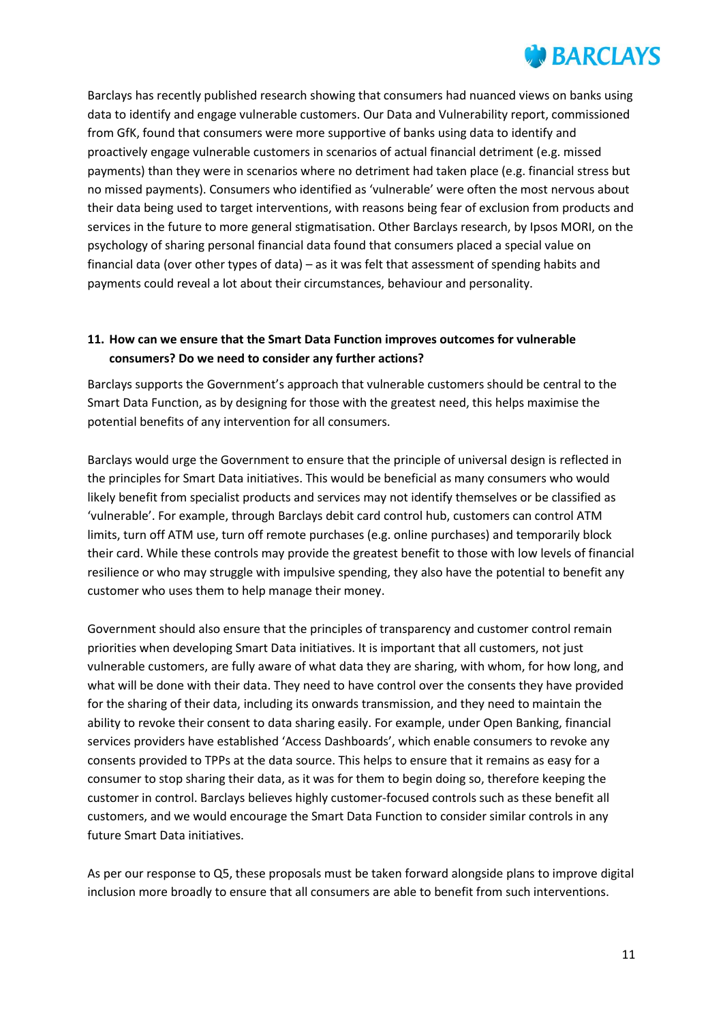

Barclays has recently published research showing that consumers had nuanced views on banks using data to identify and engage vulnerable customers. Our Data and Vulnerability report, commissioned from GfK, found that consumers were more supportive of banks using data to identify and proactively engage vulnerable customers in scenarios of actual financial detriment (e.g. missed payments) than they were in scenarios where no detriment had taken place (e.g. financial stress but no missed payments). Consumers who identified as 'vulnerable' were often the most nervous about their data being used to target interventions, with reasons being fear of exclusion from products and services in the future to more general stigmatisation. Other Barclays research, by Ipsos MORI, on the psychology of sharing personal financial data found that consumers placed a special value on financial data (over other types of data) – as it was felt that assessment of spending habits and payments could reveal a lot about their circumstances, behaviour and personality.

#### **11. How can we ensure that the Smart Data Function improves outcomes for vulnerable consumers? Do we need to consider any further actions?**

Barclays supports the Government's approach that vulnerable customers should be central to the Smart Data Function, as by designing for those with the greatest need, this helps maximise the potential benefits of any intervention for all consumers.

Barclays would urge the Government to ensure that the principle of universal design is reflected in the principles for Smart Data initiatives. This would be beneficial as many consumers who would likely benefit from specialist products and services may not identify themselves or be classified as 'vulnerable'. For example, through Barclays debit card control hub, customers can control ATM limits, turn off ATM use, turn off remote purchases (e.g. online purchases) and temporarily block their card. While these controls may provide the greatest benefit to those with low levels of financial resilience or who may struggle with impulsive spending, they also have the potential to benefit any customer who uses them to help manage their money.

Government should also ensure that the principles of transparency and customer control remain priorities when developing Smart Data initiatives. It is important that all customers, not just vulnerable customers, are fully aware of what data they are sharing, with whom, for how long, and what will be done with their data. They need to have control over the consents they have provided for the sharing of their data, including its onwards transmission, and they need to maintain the ability to revoke their consent to data sharing easily. For example, under Open Banking, financial services providers have established 'Access Dashboards', which enable consumers to revoke any consents provided to TPPs at the data source. This helps to ensure that it remains as easy for a consumer to stop sharing their data, as it was for them to begin doing so, therefore keeping the customer in control. Barclays believes highly customer-focused controls such as these benefit all customers, and we would encourage the Smart Data Function to consider similar controls in any future Smart Data initiatives.

As per our response to Q5, these proposals must be taken forward alongside plans to improve digital inclusion more broadly to ensure that all consumers are able to benefit from such interventions.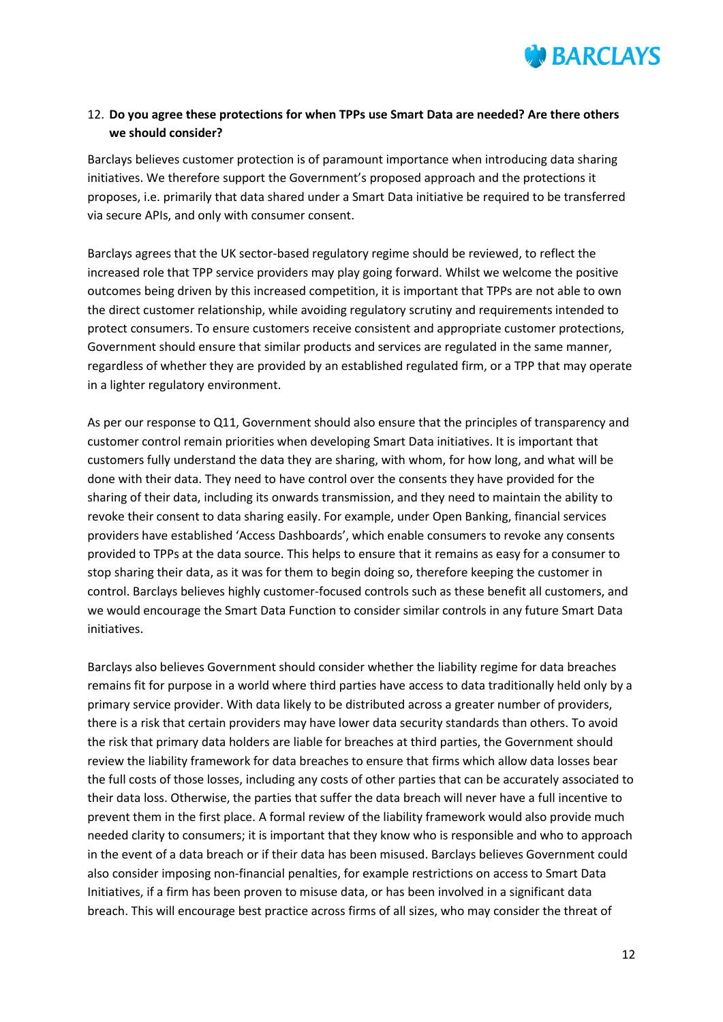

#### 12. **Do you agree these protections for when TPPs use Smart Data are needed? Are there others we should consider?**

Barclays believes customer protection is of paramount importance when introducing data sharing initiatives. We therefore support the Government's proposed approach and the protections it proposes, i.e. primarily that data shared under a Smart Data initiative be required to be transferred via secure APIs, and only with consumer consent.

Barclays agrees that the UK sector-based regulatory regime should be reviewed, to reflect the increased role that TPP service providers may play going forward. Whilst we welcome the positive outcomes being driven by this increased competition, it is important that TPPs are not able to own the direct customer relationship, while avoiding regulatory scrutiny and requirements intended to protect consumers. To ensure customers receive consistent and appropriate customer protections, Government should ensure that similar products and services are regulated in the same manner, regardless of whether they are provided by an established regulated firm, or a TPP that may operate in a lighter regulatory environment.

As per our response to Q11, Government should also ensure that the principles of transparency and customer control remain priorities when developing Smart Data initiatives. It is important that customers fully understand the data they are sharing, with whom, for how long, and what will be done with their data. They need to have control over the consents they have provided for the sharing of their data, including its onwards transmission, and they need to maintain the ability to revoke their consent to data sharing easily. For example, under Open Banking, financial services providers have established 'Access Dashboards', which enable consumers to revoke any consents provided to TPPs at the data source. This helps to ensure that it remains as easy for a consumer to stop sharing their data, as it was for them to begin doing so, therefore keeping the customer in control. Barclays believes highly customer-focused controls such as these benefit all customers, and we would encourage the Smart Data Function to consider similar controls in any future Smart Data initiatives.

Barclays also believes Government should consider whether the liability regime for data breaches remains fit for purpose in a world where third parties have access to data traditionally held only by a primary service provider. With data likely to be distributed across a greater number of providers, there is a risk that certain providers may have lower data security standards than others. To avoid the risk that primary data holders are liable for breaches at third parties, the Government should review the liability framework for data breaches to ensure that firms which allow data losses bear the full costs of those losses, including any costs of other parties that can be accurately associated to their data loss. Otherwise, the parties that suffer the data breach will never have a full incentive to prevent them in the first place. A formal review of the liability framework would also provide much needed clarity to consumers; it is important that they know who is responsible and who to approach in the event of a data breach or if their data has been misused. Barclays believes Government could also consider imposing non-financial penalties, for example restrictions on access to Smart Data Initiatives, if a firm has been proven to misuse data, or has been involved in a significant data breach. This will encourage best practice across firms of all sizes, who may consider the threat of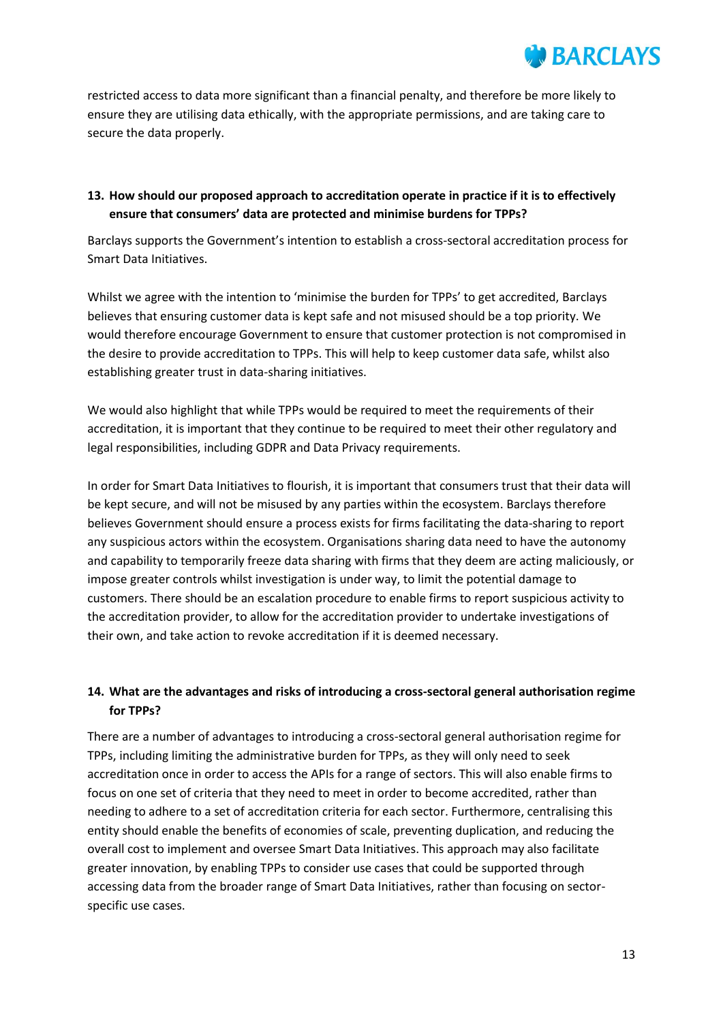restricted access to data more significant than a financial penalty, and therefore be more likely to ensure they are utilising data ethically, with the appropriate permissions, and are taking care to secure the data properly.

#### **13. How should our proposed approach to accreditation operate in practice if it is to effectively ensure that consumers' data are protected and minimise burdens for TPPs?**

Barclays supports the Government's intention to establish a cross-sectoral accreditation process for Smart Data Initiatives.

Whilst we agree with the intention to 'minimise the burden for TPPs' to get accredited, Barclays believes that ensuring customer data is kept safe and not misused should be a top priority. We would therefore encourage Government to ensure that customer protection is not compromised in the desire to provide accreditation to TPPs. This will help to keep customer data safe, whilst also establishing greater trust in data-sharing initiatives.

We would also highlight that while TPPs would be required to meet the requirements of their accreditation, it is important that they continue to be required to meet their other regulatory and legal responsibilities, including GDPR and Data Privacy requirements.

In order for Smart Data Initiatives to flourish, it is important that consumers trust that their data will be kept secure, and will not be misused by any parties within the ecosystem. Barclays therefore believes Government should ensure a process exists for firms facilitating the data-sharing to report any suspicious actors within the ecosystem. Organisations sharing data need to have the autonomy and capability to temporarily freeze data sharing with firms that they deem are acting maliciously, or impose greater controls whilst investigation is under way, to limit the potential damage to customers. There should be an escalation procedure to enable firms to report suspicious activity to the accreditation provider, to allow for the accreditation provider to undertake investigations of their own, and take action to revoke accreditation if it is deemed necessary.

### **14. What are the advantages and risks of introducing a cross-sectoral general authorisation regime for TPPs?**

There are a number of advantages to introducing a cross-sectoral general authorisation regime for TPPs, including limiting the administrative burden for TPPs, as they will only need to seek accreditation once in order to access the APIs for a range of sectors. This will also enable firms to focus on one set of criteria that they need to meet in order to become accredited, rather than needing to adhere to a set of accreditation criteria for each sector. Furthermore, centralising this entity should enable the benefits of economies of scale, preventing duplication, and reducing the overall cost to implement and oversee Smart Data Initiatives. This approach may also facilitate greater innovation, by enabling TPPs to consider use cases that could be supported through accessing data from the broader range of Smart Data Initiatives, rather than focusing on sectorspecific use cases.